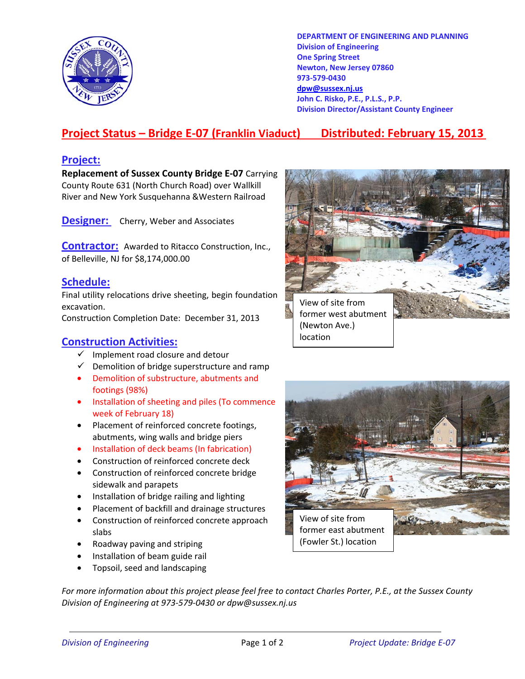

**DEPARTMENT OF ENGINEERING AND PLANNING Division of Engineering One Spring Street Newton, New Jersey 07860 973-579-0430 dpw@sussex.nj.us John C. Risko, P.E., P.L.S., P.P. Division Director/Assistant County Engineer** 

# **Project Status – Bridge E-07 (Franklin Viaduct) Distributed: February 15, 2013**

location

## **Project:**

**Replacement of Sussex County Bridge E-07** Carrying County Route 631 (North Church Road) over Wallkill River and New York Susquehanna &Western Railroad

**Designer:** Cherry, Weber and Associates

**Contractor:** Awarded to Ritacco Construction, Inc., of Belleville, NJ for \$8,174,000.00

## **Schedule:**

Final utility relocations drive sheeting, begin foundation excavation.

Construction Completion Date: December 31, 2013

### **Construction Activities:**

- $\checkmark$  Implement road closure and detour
- $\checkmark$  Demolition of bridge superstructure and ramp
- Demolition of substructure, abutments and footings (98%)
- Installation of sheeting and piles (To commence week of February 18)
- Placement of reinforced concrete footings, abutments, wing walls and bridge piers
- Installation of deck beams (In fabrication)
- Construction of reinforced concrete deck
- Construction of reinforced concrete bridge sidewalk and parapets
- Installation of bridge railing and lighting
- Placement of backfill and drainage structures
- Construction of reinforced concrete approach slabs
- Roadway paving and striping
- Installation of beam guide rail
- Topsoil, seed and landscaping





*For more information about this project please feel free to contact Charles Porter, P.E., at the Sussex County Division of Engineering at 973-579-0430 or dpw@sussex.nj.us*